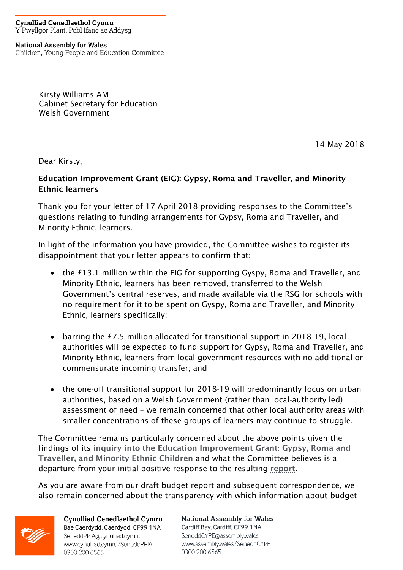**Cynulliad Cenedlaethol Cymru** Y Pwyllgor Plant, Pobl Ifanc ac Addysg

**National Assembly for Wales** Children, Young People and Education Committee

> Kirsty Williams AM Cabinet Secretary for Education Welsh Government

> > 14 May 2018

Dear Kirsty,

## Education Improvement Grant (EIG): Gypsy, Roma and Traveller, and Minority Ethnic learners

Thank you for your letter of 17 April 2018 providing responses to the Committee's questions relating to funding arrangements for Gypsy, Roma and Traveller, and Minority Ethnic, learners.

In light of the information you have provided, the Committee wishes to register its disappointment that your letter appears to confirm that:

- the £13.1 million within the EIG for supporting Gyspy. Roma and Traveller, and Minority Ethnic, learners has been removed, transferred to the Welsh Government's central reserves, and made available via the RSG for schools with no requirement for it to be spent on Gyspy, Roma and Traveller, and Minority Ethnic, learners specifically;
- barring the £7.5 million allocated for transitional support in 2018-19, local authorities will be expected to fund support for Gypsy, Roma and Traveller, and Minority Ethnic, learners from local government resources with no additional or commensurate incoming transfer; and
- the one-off transitional support for 2018-19 will predominantly focus on urban authorities, based on a Welsh Government (rather than local-authority led) assessment of need – we remain concerned that other local authority areas with smaller concentrations of these groups of learners may continue to struggle.

The Committee remains particularly concerned about the above points given the findings of its [inquiry into the Education Improvement Grant:](http://senedd.assembly.wales/mgIssueHistoryHome.aspx?IId=16200) Gypsy, Roma and [Traveller, and Minority Ethnic Children](http://senedd.assembly.wales/mgIssueHistoryHome.aspx?IId=16200) and what the Committee believes is a departure from your initial positive response to the resulting [report](http://www.assembly.wales/laid%20documents/cr-ld10943/cr-ld10943-e.pdf).

As you are aware from our draft budget report and subsequent correspondence, we also remain concerned about the transparency with which information about budget



Cynulliad Cenedlaethol Cymru Bae Caerdydd, Caerdydd, CF99 1NA SeneddPPIA@cynulliad.cymru www.cynulliad.cymru/SeneddPPIA 0300 200 6565

**National Assembly for Wales** Cardiff Bay, Cardiff, CF99 1NA SeneddCYPE@assembly.wales www.assembly.wales/SeneddCYPE 0300 200 6565